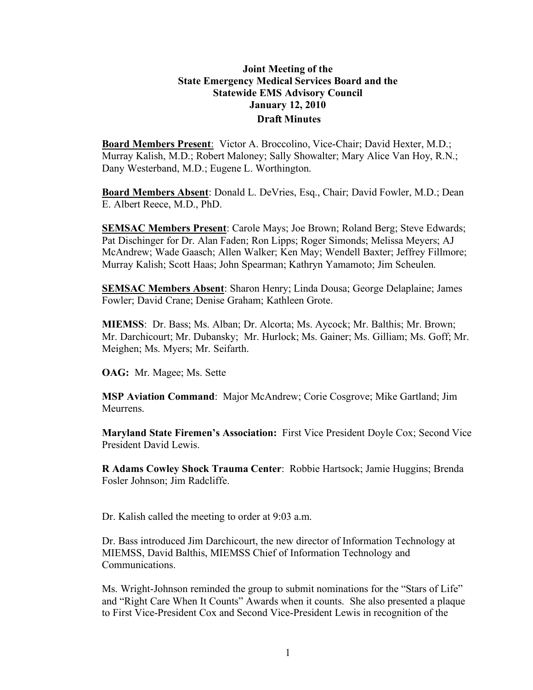# **Joint Meeting of the State Emergency Medical Services Board and the Statewide EMS Advisory Council January 12, 2010 Draft Minutes**

**Board Members Present**: Victor A. Broccolino, Vice-Chair; David Hexter, M.D.; Murray Kalish, M.D.; Robert Maloney; Sally Showalter; Mary Alice Van Hoy, R.N.; Dany Westerband, M.D.; Eugene L. Worthington.

**Board Members Absent**: Donald L. DeVries, Esq., Chair; David Fowler, M.D.; Dean E. Albert Reece, M.D., PhD.

**SEMSAC Members Present**: Carole Mays; Joe Brown; Roland Berg; Steve Edwards; Pat Dischinger for Dr. Alan Faden; Ron Lipps; Roger Simonds; Melissa Meyers; AJ McAndrew; Wade Gaasch; Allen Walker; Ken May; Wendell Baxter; Jeffrey Fillmore; Murray Kalish; Scott Haas; John Spearman; Kathryn Yamamoto; Jim Scheulen.

**SEMSAC Members Absent**: Sharon Henry; Linda Dousa; George Delaplaine; James Fowler; David Crane; Denise Graham; Kathleen Grote.

**MIEMSS**: Dr. Bass; Ms. Alban; Dr. Alcorta; Ms. Aycock; Mr. Balthis; Mr. Brown; Mr. Darchicourt; Mr. Dubansky; Mr. Hurlock; Ms. Gainer; Ms. Gilliam; Ms. Goff; Mr. Meighen; Ms. Myers; Mr. Seifarth.

**OAG:** Mr. Magee; Ms. Sette

**MSP Aviation Command**: Major McAndrew; Corie Cosgrove; Mike Gartland; Jim Meurrens.

**Maryland State Firemen's Association:** First Vice President Doyle Cox; Second Vice President David Lewis.

**R Adams Cowley Shock Trauma Center**: Robbie Hartsock; Jamie Huggins; Brenda Fosler Johnson; Jim Radcliffe.

Dr. Kalish called the meeting to order at 9:03 a.m.

Dr. Bass introduced Jim Darchicourt, the new director of Information Technology at MIEMSS, David Balthis, MIEMSS Chief of Information Technology and Communications.

Ms. Wright-Johnson reminded the group to submit nominations for the "Stars of Life" and "Right Care When It Counts" Awards when it counts. She also presented a plaque to First Vice-President Cox and Second Vice-President Lewis in recognition of the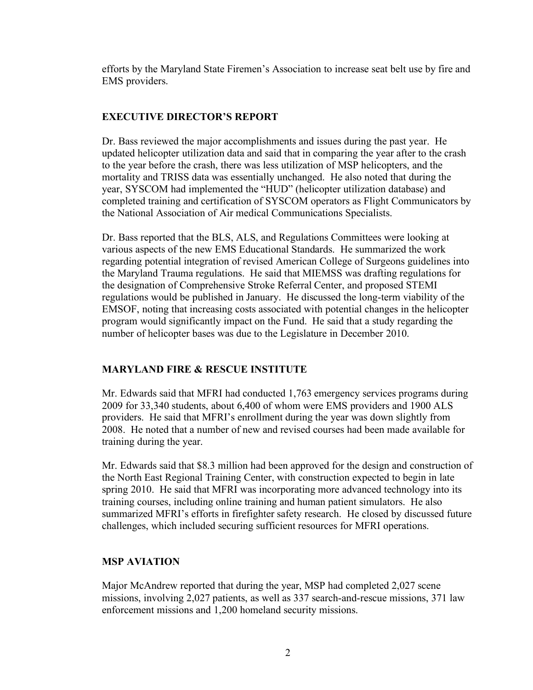efforts by the Maryland State Firemen's Association to increase seat belt use by fire and EMS providers.

# **EXECUTIVE DIRECTOR'S REPORT**

Dr. Bass reviewed the major accomplishments and issues during the past year. He updated helicopter utilization data and said that in comparing the year after to the crash to the year before the crash, there was less utilization of MSP helicopters, and the mortality and TRISS data was essentially unchanged. He also noted that during the year, SYSCOM had implemented the "HUD" (helicopter utilization database) and completed training and certification of SYSCOM operators as Flight Communicators by the National Association of Air medical Communications Specialists.

Dr. Bass reported that the BLS, ALS, and Regulations Committees were looking at various aspects of the new EMS Educational Standards. He summarized the work regarding potential integration of revised American College of Surgeons guidelines into the Maryland Trauma regulations. He said that MIEMSS was drafting regulations for the designation of Comprehensive Stroke Referral Center, and proposed STEMI regulations would be published in January. He discussed the long-term viability of the EMSOF, noting that increasing costs associated with potential changes in the helicopter program would significantly impact on the Fund. He said that a study regarding the number of helicopter bases was due to the Legislature in December 2010.

# **MARYLAND FIRE & RESCUE INSTITUTE**

Mr. Edwards said that MFRI had conducted 1,763 emergency services programs during 2009 for 33,340 students, about 6,400 of whom were EMS providers and 1900 ALS providers. He said that MFRI's enrollment during the year was down slightly from 2008. He noted that a number of new and revised courses had been made available for training during the year.

Mr. Edwards said that \$8.3 million had been approved for the design and construction of the North East Regional Training Center, with construction expected to begin in late spring 2010. He said that MFRI was incorporating more advanced technology into its training courses, including online training and human patient simulators. He also summarized MFRI's efforts in firefighter safety research. He closed by discussed future challenges, which included securing sufficient resources for MFRI operations.

# **MSP AVIATION**

Major McAndrew reported that during the year, MSP had completed 2,027 scene missions, involving 2,027 patients, as well as 337 search-and-rescue missions, 371 law enforcement missions and 1,200 homeland security missions.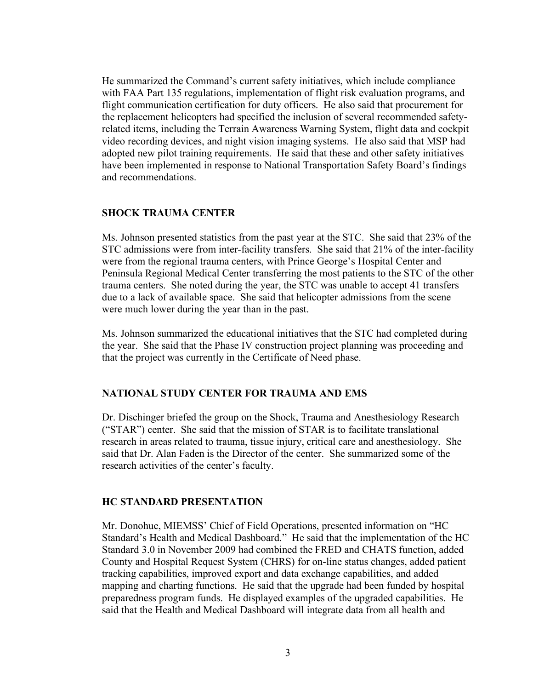He summarized the Command's current safety initiatives, which include compliance with FAA Part 135 regulations, implementation of flight risk evaluation programs, and flight communication certification for duty officers. He also said that procurement for the replacement helicopters had specified the inclusion of several recommended safetyrelated items, including the Terrain Awareness Warning System, flight data and cockpit video recording devices, and night vision imaging systems. He also said that MSP had adopted new pilot training requirements. He said that these and other safety initiatives have been implemented in response to National Transportation Safety Board's findings and recommendations.

#### **SHOCK TRAUMA CENTER**

Ms. Johnson presented statistics from the past year at the STC. She said that 23% of the STC admissions were from inter-facility transfers. She said that 21% of the inter-facility were from the regional trauma centers, with Prince George's Hospital Center and Peninsula Regional Medical Center transferring the most patients to the STC of the other trauma centers. She noted during the year, the STC was unable to accept 41 transfers due to a lack of available space. She said that helicopter admissions from the scene were much lower during the year than in the past.

Ms. Johnson summarized the educational initiatives that the STC had completed during the year. She said that the Phase IV construction project planning was proceeding and that the project was currently in the Certificate of Need phase.

### **NATIONAL STUDY CENTER FOR TRAUMA AND EMS**

Dr. Dischinger briefed the group on the Shock, Trauma and Anesthesiology Research ("STAR") center. She said that the mission of STAR is to facilitate translational research in areas related to trauma, tissue injury, critical care and anesthesiology. She said that Dr. Alan Faden is the Director of the center. She summarized some of the research activities of the center's faculty.

#### **HC STANDARD PRESENTATION**

Mr. Donohue, MIEMSS' Chief of Field Operations, presented information on "HC Standard's Health and Medical Dashboard." He said that the implementation of the HC Standard 3.0 in November 2009 had combined the FRED and CHATS function, added County and Hospital Request System (CHRS) for on-line status changes, added patient tracking capabilities, improved export and data exchange capabilities, and added mapping and charting functions. He said that the upgrade had been funded by hospital preparedness program funds. He displayed examples of the upgraded capabilities. He said that the Health and Medical Dashboard will integrate data from all health and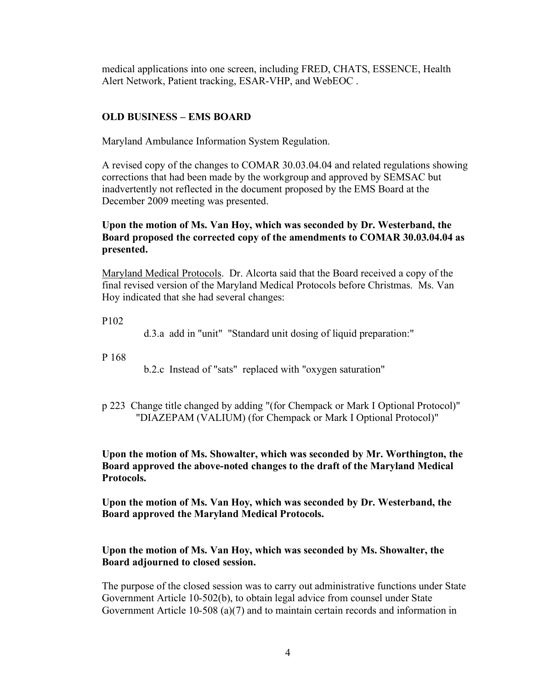medical applications into one screen, including FRED, CHATS, ESSENCE, Health Alert Network, Patient tracking, ESAR-VHP, and WebEOC .

# **OLD BUSINESS – EMS BOARD**

Maryland Ambulance Information System Regulation.

A revised copy of the changes to COMAR 30.03.04.04 and related regulations showing corrections that had been made by the workgroup and approved by SEMSAC but inadvertently not reflected in the document proposed by the EMS Board at the December 2009 meeting was presented.

# **Upon the motion of Ms. Van Hoy, which was seconded by Dr. Westerband, the Board proposed the corrected copy of the amendments to COMAR 30.03.04.04 as presented.**

Maryland Medical Protocols. Dr. Alcorta said that the Board received a copy of the final revised version of the Maryland Medical Protocols before Christmas. Ms. Van Hoy indicated that she had several changes:

P102

d.3.a add in "unit" "Standard unit dosing of liquid preparation:"

P 168

b.2.c Instead of "sats" replaced with "oxygen saturation"

p 223 Change title changed by adding "(for Chempack or Mark I Optional Protocol)" "DIAZEPAM (VALIUM) (for Chempack or Mark I Optional Protocol)"

**Upon the motion of Ms. Showalter, which was seconded by Mr. Worthington, the Board approved the above-noted changes to the draft of the Maryland Medical Protocols.**

**Upon the motion of Ms. Van Hoy, which was seconded by Dr. Westerband, the Board approved the Maryland Medical Protocols.**

# **Upon the motion of Ms. Van Hoy, which was seconded by Ms. Showalter, the Board adjourned to closed session.**

The purpose of the closed session was to carry out administrative functions under State Government Article 10-502(b), to obtain legal advice from counsel under State Government Article 10-508 (a)(7) and to maintain certain records and information in